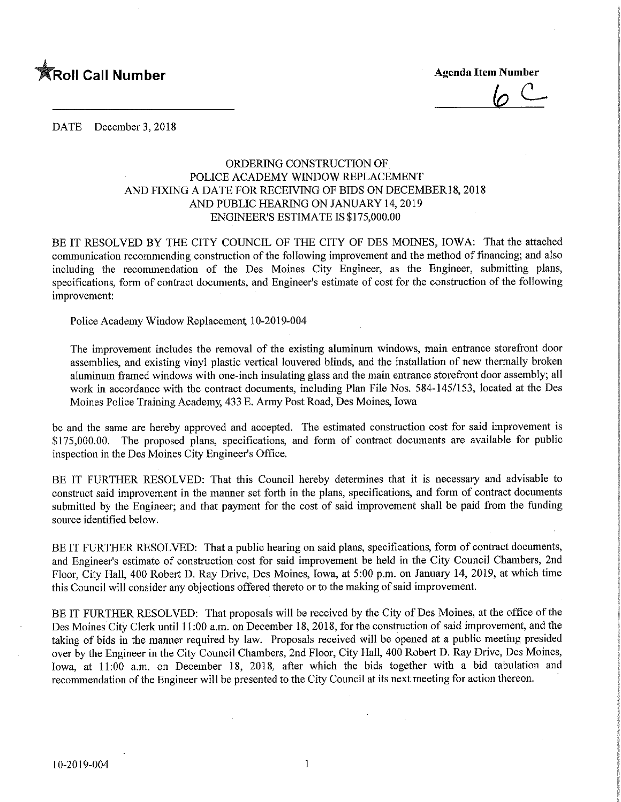

 $6c$ 

DATE December 3, 2018

## ORDERING CONSTRUCTION OF POLICE ACADEMY WINDOW REPLACEMENT AND FIXING A DATE FOR RECEIVING OF BIDS ON DECEMBER 18, 2018 AND PUBLIC HEARING ON JANUARY 14, 2019 ENGINEER'S ESTIMATE IS \$175,000.00

BE IT RESOLVED BY THE CITY COUNCIL OF THE CITY OF DES MOINES, IOWA: That the attached communication recommending construction of the following improvement and the method of financing; and also including the recommendation of the Des Moines City Engineer, as the Engineer, submitting plans, specifications, form of contract documents, and Engineer's estimate of cost for the construction of the following improvement:

Police Academy Window Replacement 10-2019-004

The improvement includes the removal of the existing aluminum windows, main entrance storefront door assemblies, and existing vinyl plastic vertical louvered blinds, and the installation of new thermally broken aluminum framed windows with one-inch insulating glass and the main entrance storefront door assembly; all work in accordance with the contract documents, including Plan File Nos. 584-145/153, located at the Des Moines Police Training Academy, 433 E. Army Post Road, Des Moines, Iowa

be and the same are hereby approved and accepted. The estimated construction cost for said improvement is \$175,000.00. The proposed plans, specifications, and form of contract documents are available for public inspection in the Des Moines City Engineer's Office.

BE IT FURTHER RESOLVED: That this Council hereby determines that it is necessary and advisable to construct said improvement in the manner set forth in the plans, specifications, and form of contract documents submitted by the Engineer; and that payment for the cost of said improvement shall be paid from the funding source identified below.

BE IT FURTHER RESOLVED: That a public hearing on said plans, specifications, form of contract documents, and Engineer's estimate of construction cost for said improvement be held in the City Council Chambers, 2nd Floor, City Hall, 400 Robert D. Ray Drive, Des Moines, Iowa, at 5:00 p.m. on January 14, 2019, at which time this Council will consider any objections offered thereto or to the making of said improvement.

BE IT FURTHER RESOLVED: That proposals will be received by the City of Des Moines, at the office of the Des Moines City Clerk until 11:00 a.m. on December 18, 2018, for the construction of said improvement, and the taking of bids in the manner required by law. Proposals received will be opened at a public meeting presided over by the Engineer in the City Council Chambers, 2nd Floor, Cify Hall, 400 Robert D. Ray Drive, Des Moines, Iowa, at 11:00 a.m. on December 18, 2018, after which the bids together with a bid tabulation and recommendation of the Engineer will be presented to the City Council at its next meeting for action thereon.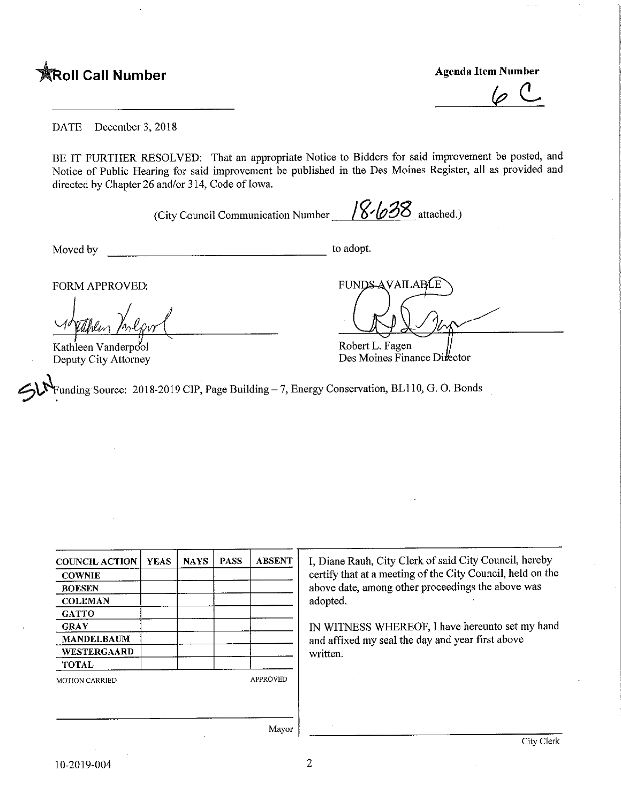

 $\varphi$  (L

DATE December 3, 2018

BE IT FURTHER RESOLVED: That an appropriate Notice to Bidders for said improvement be posted, and Notice of Public Hearing for said improvement be published m the Des Moines Register, all as provided and directed by Chapter 26 and/or 314, Code of Iowa.

(City Council Communication Number  $\frac{18}{28}$  attached.)

Moved by to adopt.

y<br>Kathleen Vanderpool Deputy City Attorney

FORM APPROVED: FUNDS AVAILABLE

Robert L. Pagen Des Moines Finance Director

Funding Source: 2018-2019 CIP, Page Building - 7, Energy Conservation, BL110, G. O. Bonds

| <b>COUNCIL ACTION</b> | <b>YEAS</b> | <b>NAYS</b> | <b>PASS</b> | <b>ABSENT</b>   | I, Diane Rauh, City Clerk of said City Council, hereby     |
|-----------------------|-------------|-------------|-------------|-----------------|------------------------------------------------------------|
| <b>COWNIE</b>         |             |             |             |                 | certify that at a meeting of the City Council, held on the |
| <b>BOESEN</b>         |             |             |             |                 | above date, among other proceedings the above was          |
| <b>COLEMAN</b>        |             |             |             |                 | adopted.                                                   |
| <b>GATTO</b>          |             |             |             |                 |                                                            |
| <b>GRAY</b>           |             |             |             |                 | IN WITNESS WHEREOF, I have hereunto set my hand            |
| <b>MANDELBAUM</b>     |             |             |             |                 | and affixed my seal the day and year first above           |
| <b>WESTERGAARD</b>    |             |             |             |                 | written.                                                   |
| <b>TOTAL</b>          |             |             |             |                 |                                                            |
| <b>MOTION CARRIED</b> |             |             |             | <b>APPROVED</b> |                                                            |
|                       |             |             |             |                 |                                                            |
|                       |             |             |             |                 |                                                            |
|                       |             |             |             |                 |                                                            |
|                       |             |             |             | Mayor           |                                                            |